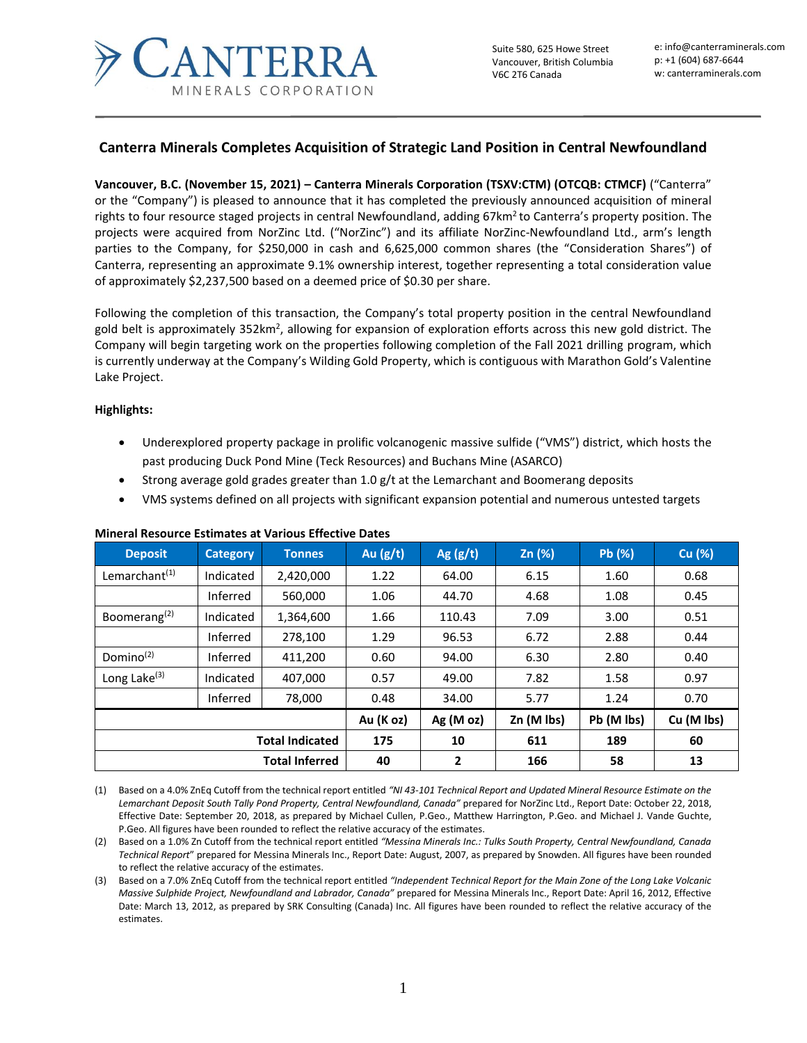

# **Canterra Minerals Completes Acquisition of Strategic Land Position in Central Newfoundland**

**Vancouver, B.C. (November 15, 2021) – Canterra Minerals Corporation (TSXV:CTM) (OTCQB: CTMCF)** ("Canterra" or the "Company") is pleased to announce that it has completed the previously announced acquisition of mineral rights to four resource staged projects in central Newfoundland, adding 67km<sup>2</sup> to Canterra's property position. The projects were acquired from NorZinc Ltd. ("NorZinc") and its affiliate NorZinc-Newfoundland Ltd., arm's length parties to the Company, for \$250,000 in cash and 6,625,000 common shares (the "Consideration Shares") of Canterra, representing an approximate 9.1% ownership interest, together representing a total consideration value of approximately \$2,237,500 based on a deemed price of \$0.30 per share.

Following the completion of this transaction, the Company's total property position in the central Newfoundland gold belt is approximately 352km<sup>2</sup>, allowing for expansion of exploration efforts across this new gold district. The Company will begin targeting work on the properties following completion of the Fall 2021 drilling program, which is currently underway at the Company's Wilding Gold Property, which is contiguous with Marathon Gold's Valentine Lake Project.

#### **Highlights:**

- Underexplored property package in prolific volcanogenic massive sulfide ("VMS") district, which hosts the past producing Duck Pond Mine (Teck Resources) and Buchans Mine (ASARCO)
- Strong average gold grades greater than 1.0  $g/t$  at the Lemarchant and Boomerang deposits
- VMS systems defined on all projects with significant expansion potential and numerous untested targets

| <b>Deposit</b>            | <b>Category</b> | <b>Tonnes</b> | Au $(g/t)$ | Ag $(g/t)$ | Zn (%)     | Pb (%)     | Cu (%)     |
|---------------------------|-----------------|---------------|------------|------------|------------|------------|------------|
| Lemarchant <sup>(1)</sup> | Indicated       | 2,420,000     | 1.22       | 64.00      | 6.15       | 1.60       | 0.68       |
|                           | Inferred        | 560,000       | 1.06       | 44.70      | 4.68       | 1.08       | 0.45       |
| Boomerang <sup>(2)</sup>  | Indicated       | 1,364,600     | 1.66       | 110.43     | 7.09       | 3.00       | 0.51       |
|                           | Inferred        | 278,100       | 1.29       | 96.53      | 6.72       | 2.88       | 0.44       |
| Domino <sup>(2)</sup>     | Inferred        | 411,200       | 0.60       | 94.00      | 6.30       | 2.80       | 0.40       |
| Long Lake <sup>(3)</sup>  | Indicated       | 407,000       | 0.57       | 49.00      | 7.82       | 1.58       | 0.97       |
|                           | Inferred        | 78,000        | 0.48       | 34.00      | 5.77       | 1.24       | 0.70       |
|                           |                 |               | Au (K oz)  | Ag(Moz)    | Zn (M lbs) | Pb (M lbs) | Cu (M lbs) |
| <b>Total Indicated</b>    |                 |               | 175        | 10         | 611        | 189        | 60         |
| <b>Total Inferred</b>     |                 |               | 40         | 2          | 166        | 58         | 13         |

#### **Mineral Resource Estimates at Various Effective Dates**

(1) Based on a 4.0% ZnEq Cutoff from the technical report entitled *"NI 43-101 Technical Report and Updated Mineral Resource Estimate on the Lemarchant Deposit South Tally Pond Property, Central Newfoundland, Canada"* prepared for NorZinc Ltd., Report Date: October 22, 2018, Effective Date: September 20, 2018, as prepared by Michael Cullen, P.Geo., Matthew Harrington, P.Geo. and Michael J. Vande Guchte, P.Geo. All figures have been rounded to reflect the relative accuracy of the estimates.

(2) Based on a 1.0% Zn Cutoff from the technical report entitled *"Messina Minerals Inc.: Tulks South Property, Central Newfoundland, Canada Technical Report*" prepared for Messina Minerals Inc., Report Date: August, 2007, as prepared by Snowden. All figures have been rounded to reflect the relative accuracy of the estimates.

(3) Based on a 7.0% ZnEq Cutoff from the technical report entitled *"Independent Technical Report for the Main Zone of the Long Lake Volcanic Massive Sulphide Project, Newfoundland and Labrador, Canada"* prepared for Messina Minerals Inc., Report Date: April 16, 2012, Effective Date: March 13, 2012, as prepared by SRK Consulting (Canada) Inc. All figures have been rounded to reflect the relative accuracy of the estimates.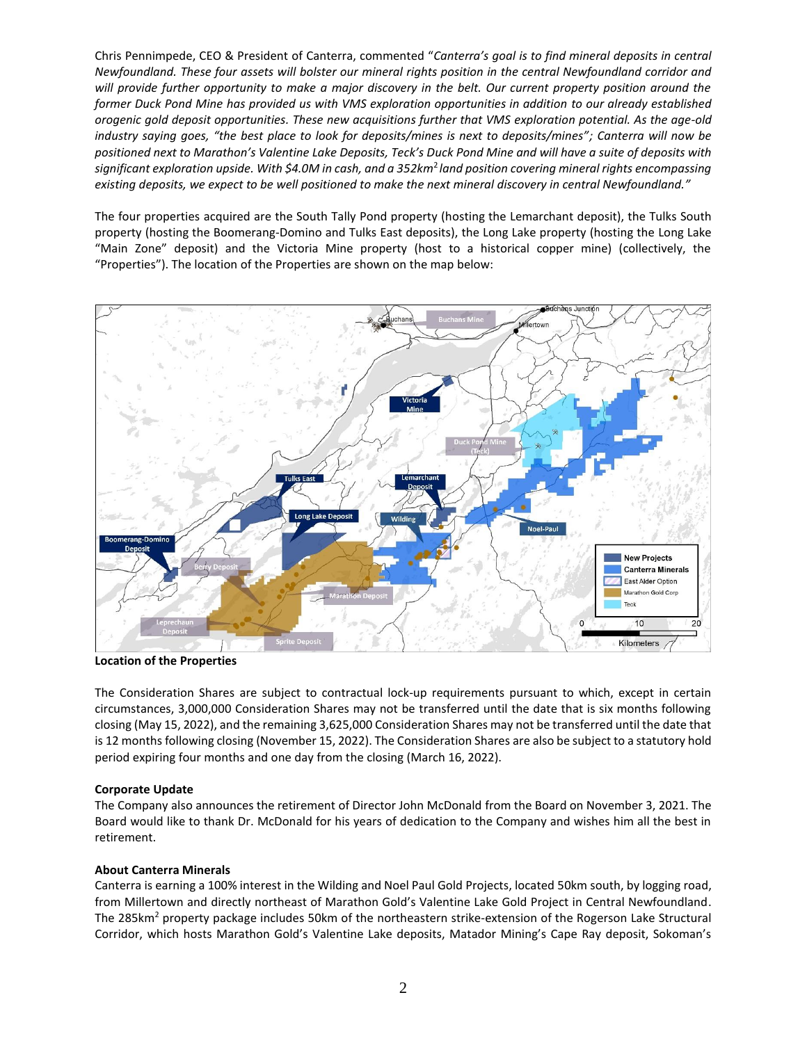Chris Pennimpede, CEO & President of Canterra, commented "*Canterra's goal is to find mineral deposits in central Newfoundland. These four assets will bolster our mineral rights position in the central Newfoundland corridor and will provide further opportunity to make a major discovery in the belt. Our current property position around the former Duck Pond Mine has provided us with VMS exploration opportunities in addition to our already established orogenic gold deposit opportunities. These new acquisitions further that VMS exploration potential. As the age-old industry saying goes, "the best place to look for deposits/mines is next to deposits/mines"; Canterra will now be positioned next to Marathon's Valentine Lake Deposits, Teck's Duck Pond Mine and will have a suite of deposits with significant exploration upside. With \$4.0M in cash, and a 352km*<sup>2</sup>*land position covering mineral rights encompassing existing deposits, we expect to be well positioned to make the next mineral discovery in central Newfoundland."*

The four properties acquired are the South Tally Pond property (hosting the Lemarchant deposit), the Tulks South property (hosting the Boomerang-Domino and Tulks East deposits), the Long Lake property (hosting the Long Lake "Main Zone" deposit) and the Victoria Mine property (host to a historical copper mine) (collectively, the "Properties"). The location of the Properties are shown on the map below:



**Location of the Properties**

The Consideration Shares are subject to contractual lock-up requirements pursuant to which, except in certain circumstances, 3,000,000 Consideration Shares may not be transferred until the date that is six months following closing (May 15, 2022), and the remaining 3,625,000 Consideration Shares may not be transferred until the date that is 12 months following closing (November 15, 2022). The Consideration Shares are also be subject to a statutory hold period expiring four months and one day from the closing (March 16, 2022).

## **Corporate Update**

The Company also announces the retirement of Director John McDonald from the Board on November 3, 2021. The Board would like to thank Dr. McDonald for his years of dedication to the Company and wishes him all the best in retirement.

## **About Canterra Minerals**

Canterra is earning a 100% interest in the Wilding and Noel Paul Gold Projects, located 50km south, by logging road, from Millertown and directly northeast of Marathon Gold's Valentine Lake Gold Project in Central Newfoundland. The 285km<sup>2</sup> property package includes 50km of the northeastern strike-extension of the Rogerson Lake Structural Corridor, which hosts Marathon Gold's Valentine Lake deposits, Matador Mining's Cape Ray deposit, Sokoman's